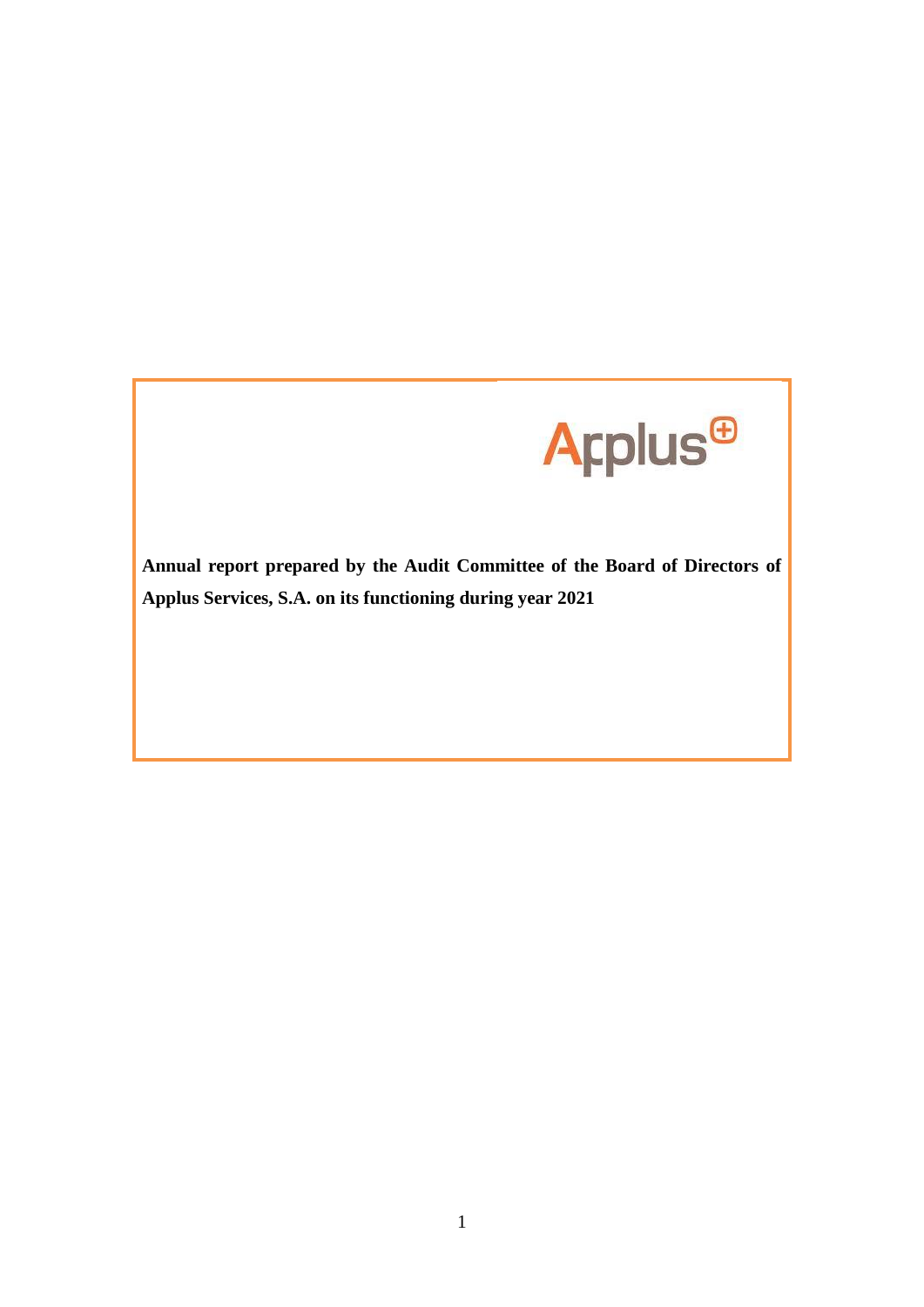

**Annual report prepared by the Audit Committee of the Board of Directors of Applus Services, S.A. on its functioning during year 2021**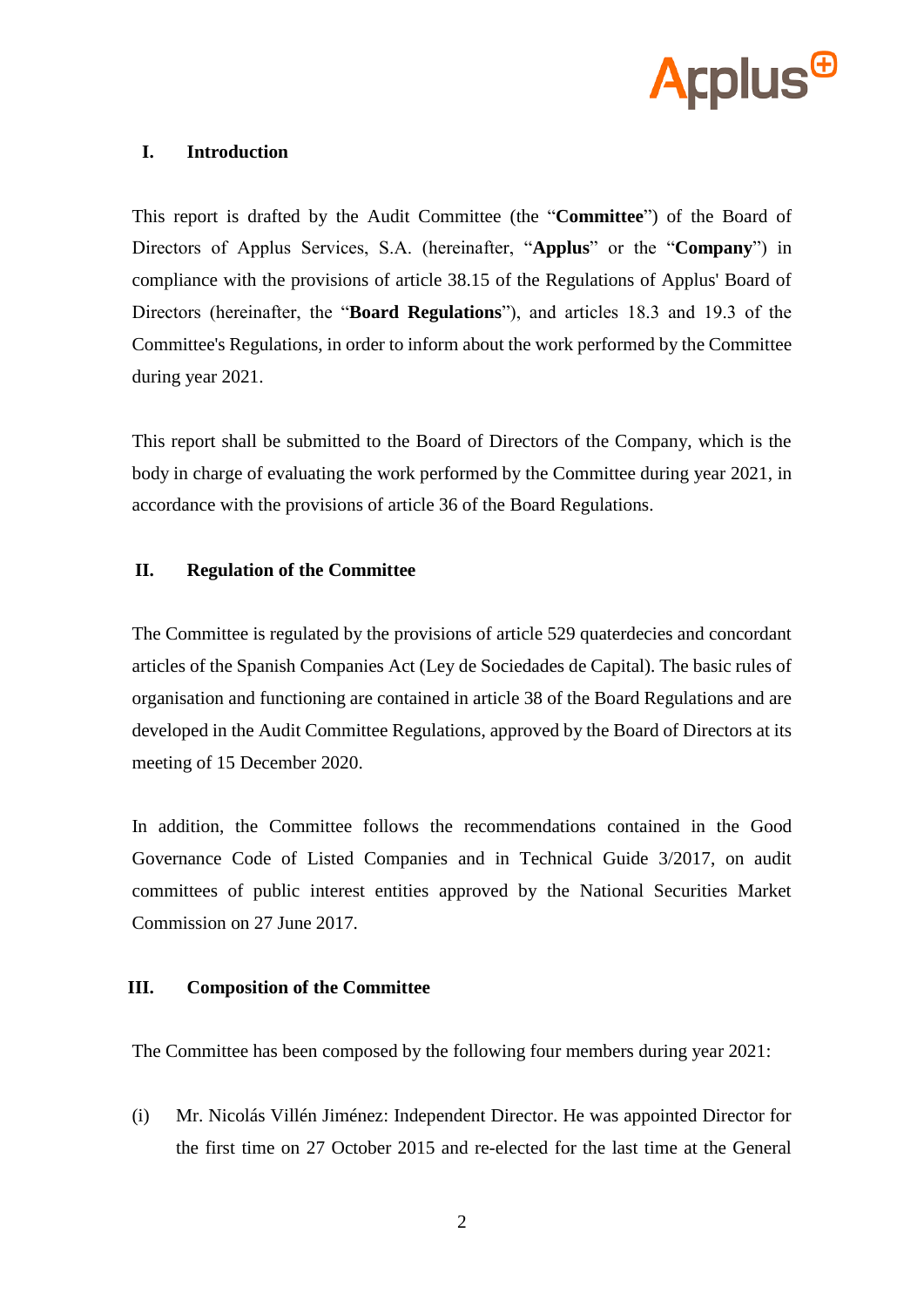

### **I. Introduction**

This report is drafted by the Audit Committee (the "**Committee**") of the Board of Directors of Applus Services, S.A. (hereinafter, "**Applus**" or the "**Company**") in compliance with the provisions of article 38.15 of the Regulations of Applus' Board of Directors (hereinafter, the "**Board Regulations**"), and articles 18.3 and 19.3 of the Committee's Regulations, in order to inform about the work performed by the Committee during year 2021.

This report shall be submitted to the Board of Directors of the Company, which is the body in charge of evaluating the work performed by the Committee during year 2021, in accordance with the provisions of article 36 of the Board Regulations.

## **II. Regulation of the Committee**

The Committee is regulated by the provisions of article 529 quaterdecies and concordant articles of the Spanish Companies Act (Ley de Sociedades de Capital). The basic rules of organisation and functioning are contained in article 38 of the Board Regulations and are developed in the Audit Committee Regulations, approved by the Board of Directors at its meeting of 15 December 2020.

In addition, the Committee follows the recommendations contained in the Good Governance Code of Listed Companies and in Technical Guide 3/2017, on audit committees of public interest entities approved by the National Securities Market Commission on 27 June 2017.

#### **III. Composition of the Committee**

The Committee has been composed by the following four members during year 2021:

(i) Mr. Nicolás Villén Jiménez: Independent Director. He was appointed Director for the first time on 27 October 2015 and re-elected for the last time at the General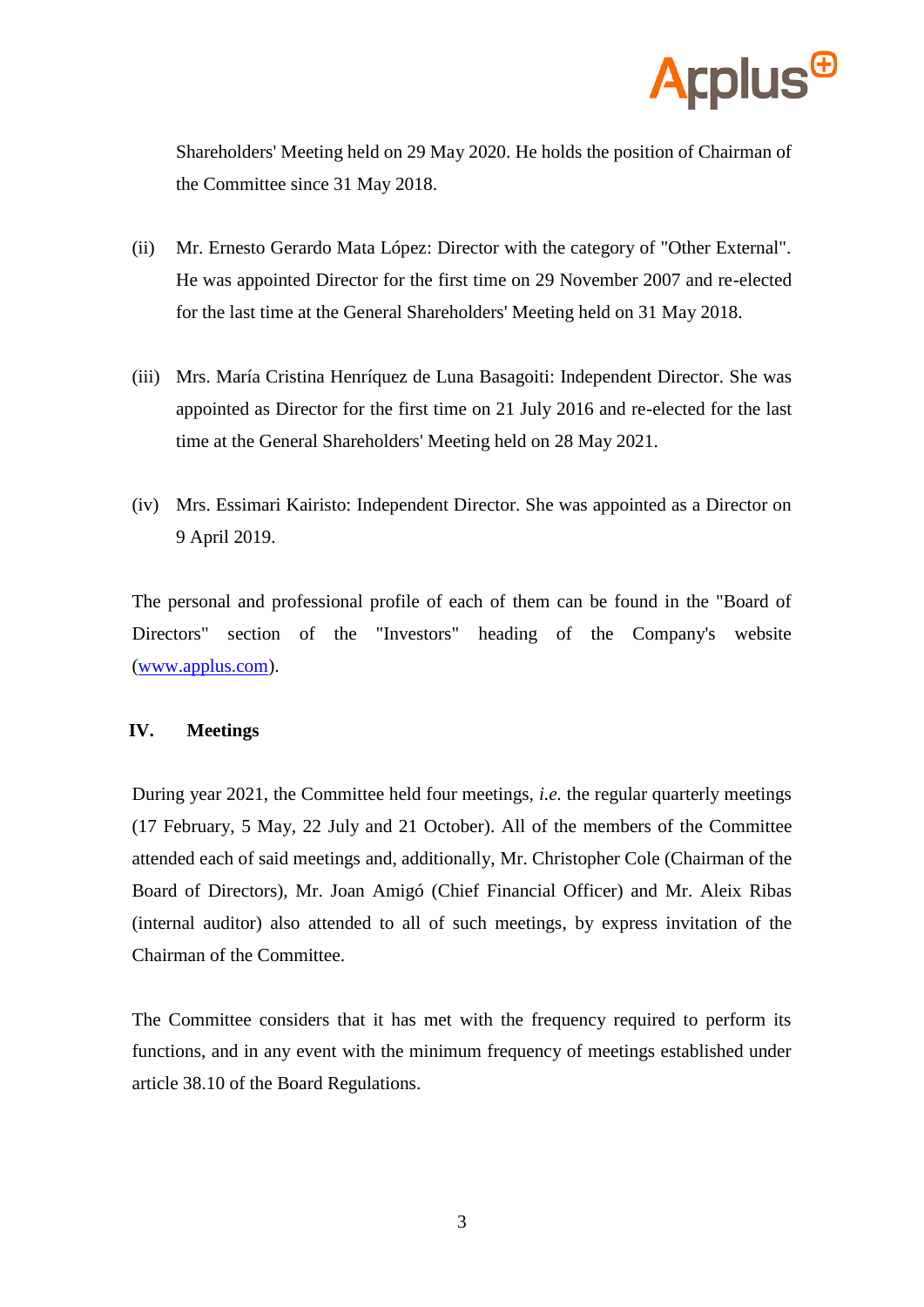

Shareholders' Meeting held on 29 May 2020. He holds the position of Chairman of the Committee since 31 May 2018.

- (ii) Mr. Ernesto Gerardo Mata López: Director with the category of "Other External". He was appointed Director for the first time on 29 November 2007 and re-elected for the last time at the General Shareholders' Meeting held on 31 May 2018.
- (iii) Mrs. María Cristina Henríquez de Luna Basagoiti: Independent Director. She was appointed as Director for the first time on 21 July 2016 and re-elected for the last time at the General Shareholders' Meeting held on 28 May 2021.
- (iv) Mrs. Essimari Kairisto: Independent Director. She was appointed as a Director on 9 April 2019.

The personal and professional profile of each of them can be found in the "Board of Directors" section of the "Investors" heading of the Company's website [\(www.applus.com\)](http://www.applus.com/).

#### **IV. Meetings**

During year 2021, the Committee held four meetings, *i.e.* the regular quarterly meetings (17 February, 5 May, 22 July and 21 October). All of the members of the Committee attended each of said meetings and, additionally, Mr. Christopher Cole (Chairman of the Board of Directors), Mr. Joan Amigó (Chief Financial Officer) and Mr. Aleix Ribas (internal auditor) also attended to all of such meetings, by express invitation of the Chairman of the Committee.

The Committee considers that it has met with the frequency required to perform its functions, and in any event with the minimum frequency of meetings established under article 38.10 of the Board Regulations.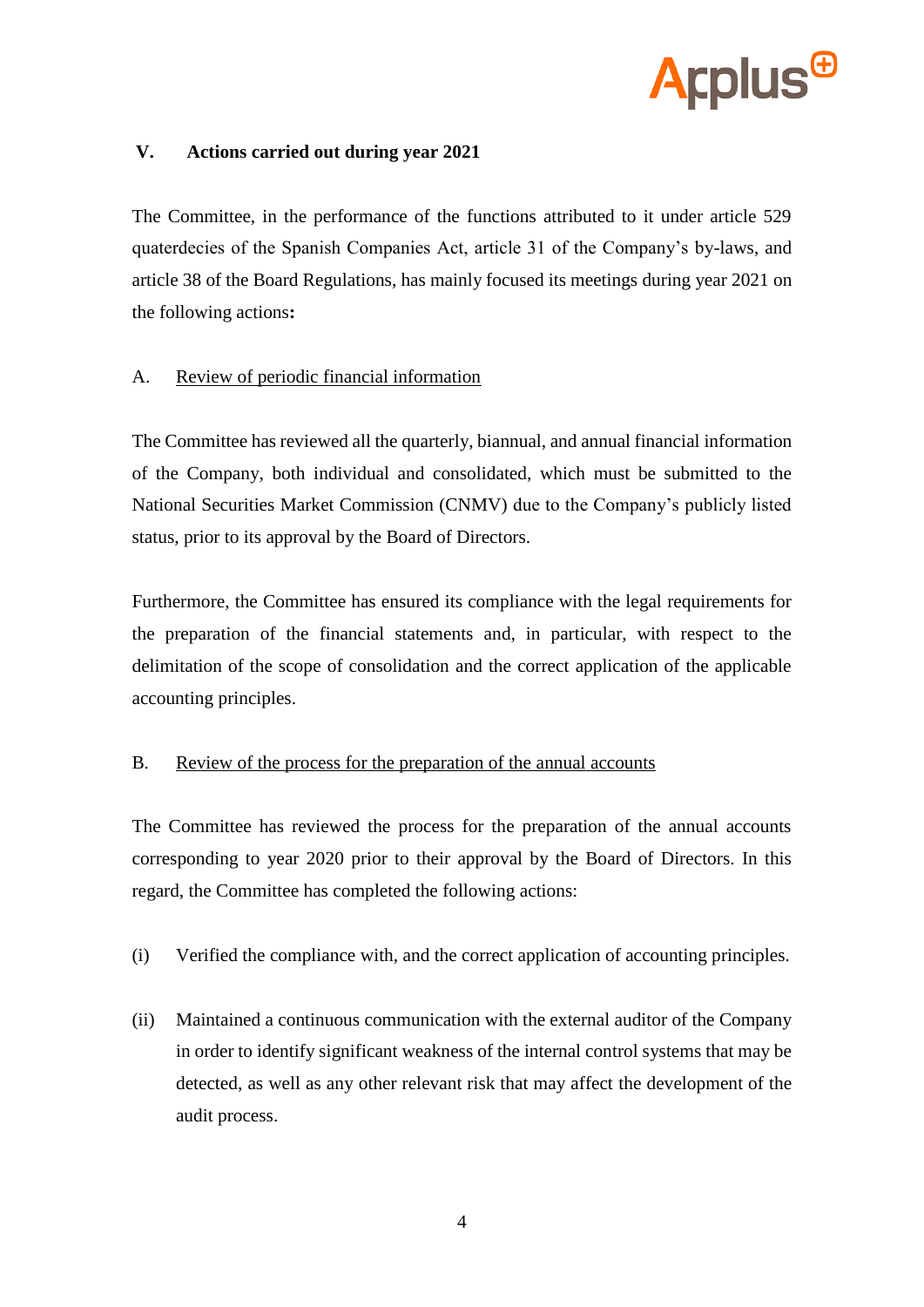

# **V. Actions carried out during year 2021**

The Committee, in the performance of the functions attributed to it under article 529 quaterdecies of the Spanish Companies Act, article 31 of the Company's by-laws, and article 38 of the Board Regulations, has mainly focused its meetings during year 2021 on the following actions**:**

# A. Review of periodic financial information

The Committee has reviewed all the quarterly, biannual, and annual financial information of the Company, both individual and consolidated, which must be submitted to the National Securities Market Commission (CNMV) due to the Company's publicly listed status, prior to its approval by the Board of Directors.

Furthermore, the Committee has ensured its compliance with the legal requirements for the preparation of the financial statements and, in particular, with respect to the delimitation of the scope of consolidation and the correct application of the applicable accounting principles.

#### B. Review of the process for the preparation of the annual accounts

The Committee has reviewed the process for the preparation of the annual accounts corresponding to year 2020 prior to their approval by the Board of Directors. In this regard, the Committee has completed the following actions:

- (i) Verified the compliance with, and the correct application of accounting principles.
- (ii) Maintained a continuous communication with the external auditor of the Company in order to identify significant weakness of the internal control systems that may be detected, as well as any other relevant risk that may affect the development of the audit process.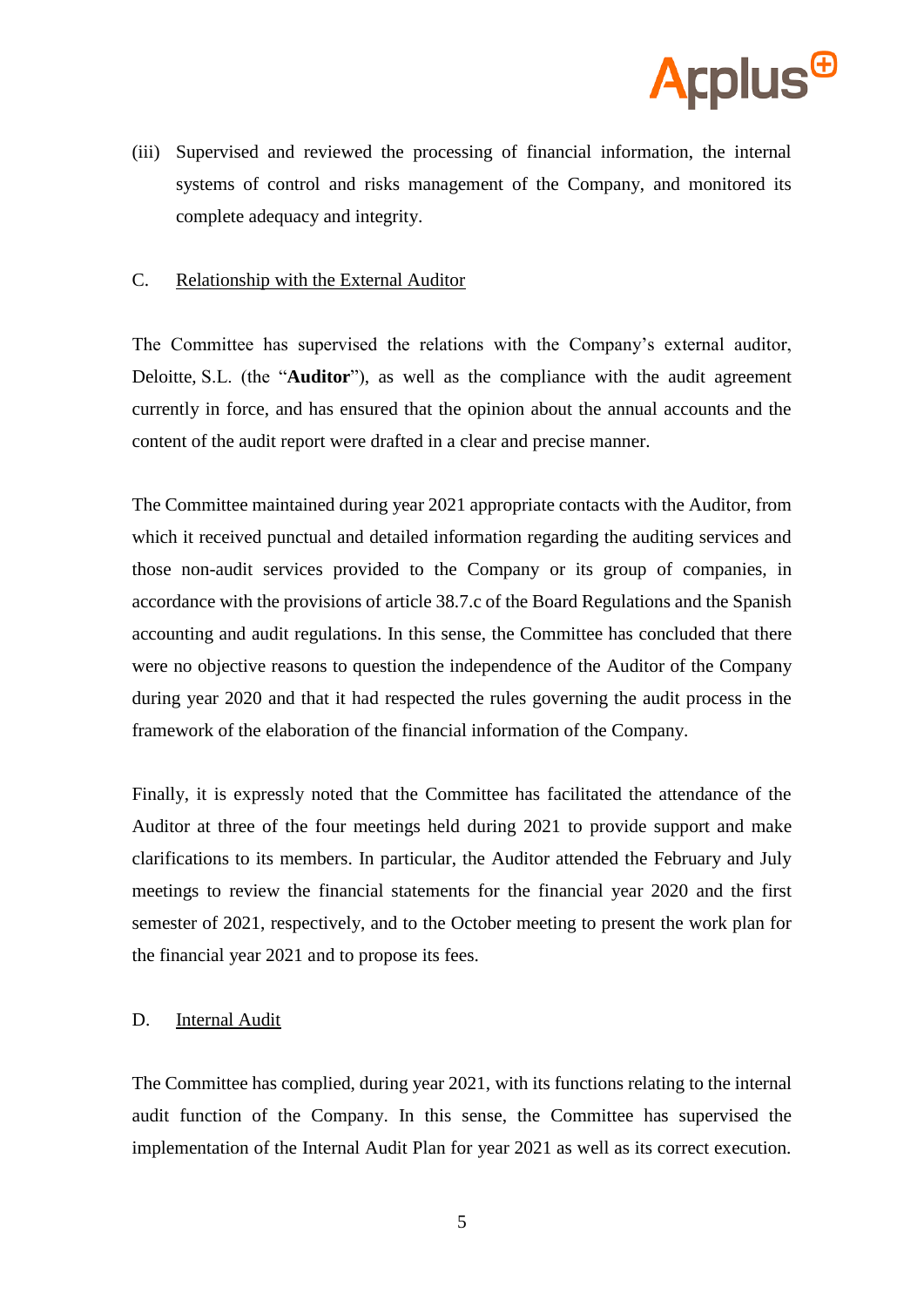

(iii) Supervised and reviewed the processing of financial information, the internal systems of control and risks management of the Company, and monitored its complete adequacy and integrity.

#### C. Relationship with the External Auditor

The Committee has supervised the relations with the Company's external auditor, Deloitte, S.L. (the "**Auditor**"), as well as the compliance with the audit agreement currently in force, and has ensured that the opinion about the annual accounts and the content of the audit report were drafted in a clear and precise manner.

The Committee maintained during year 2021 appropriate contacts with the Auditor, from which it received punctual and detailed information regarding the auditing services and those non-audit services provided to the Company or its group of companies, in accordance with the provisions of article 38.7.c of the Board Regulations and the Spanish accounting and audit regulations. In this sense, the Committee has concluded that there were no objective reasons to question the independence of the Auditor of the Company during year 2020 and that it had respected the rules governing the audit process in the framework of the elaboration of the financial information of the Company.

Finally, it is expressly noted that the Committee has facilitated the attendance of the Auditor at three of the four meetings held during 2021 to provide support and make clarifications to its members. In particular, the Auditor attended the February and July meetings to review the financial statements for the financial year 2020 and the first semester of 2021, respectively, and to the October meeting to present the work plan for the financial year 2021 and to propose its fees.

#### D. Internal Audit

The Committee has complied, during year 2021, with its functions relating to the internal audit function of the Company. In this sense, the Committee has supervised the implementation of the Internal Audit Plan for year 2021 as well as its correct execution.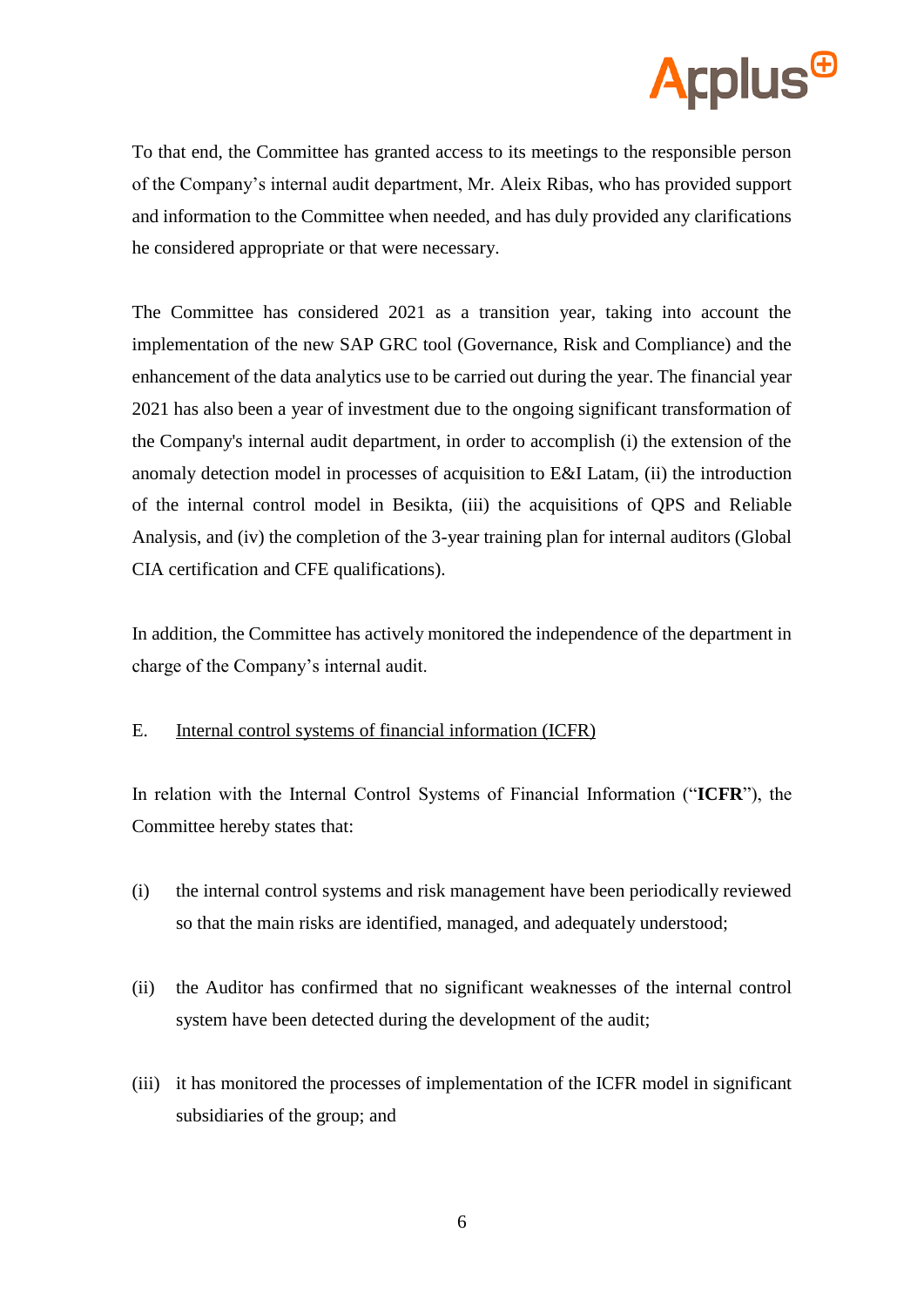

To that end, the Committee has granted access to its meetings to the responsible person of the Company's internal audit department, Mr. Aleix Ribas, who has provided support and information to the Committee when needed, and has duly provided any clarifications he considered appropriate or that were necessary.

The Committee has considered 2021 as a transition year, taking into account the implementation of the new SAP GRC tool (Governance, Risk and Compliance) and the enhancement of the data analytics use to be carried out during the year. The financial year 2021 has also been a year of investment due to the ongoing significant transformation of the Company's internal audit department, in order to accomplish (i) the extension of the anomaly detection model in processes of acquisition to E&I Latam, (ii) the introduction of the internal control model in Besikta, (iii) the acquisitions of QPS and Reliable Analysis, and (iv) the completion of the 3-year training plan for internal auditors (Global CIA certification and CFE qualifications).

In addition, the Committee has actively monitored the independence of the department in charge of the Company's internal audit.

# E. Internal control systems of financial information (ICFR)

In relation with the Internal Control Systems of Financial Information ("**ICFR**"), the Committee hereby states that:

- (i) the internal control systems and risk management have been periodically reviewed so that the main risks are identified, managed, and adequately understood;
- (ii) the Auditor has confirmed that no significant weaknesses of the internal control system have been detected during the development of the audit;
- (iii) it has monitored the processes of implementation of the ICFR model in significant subsidiaries of the group; and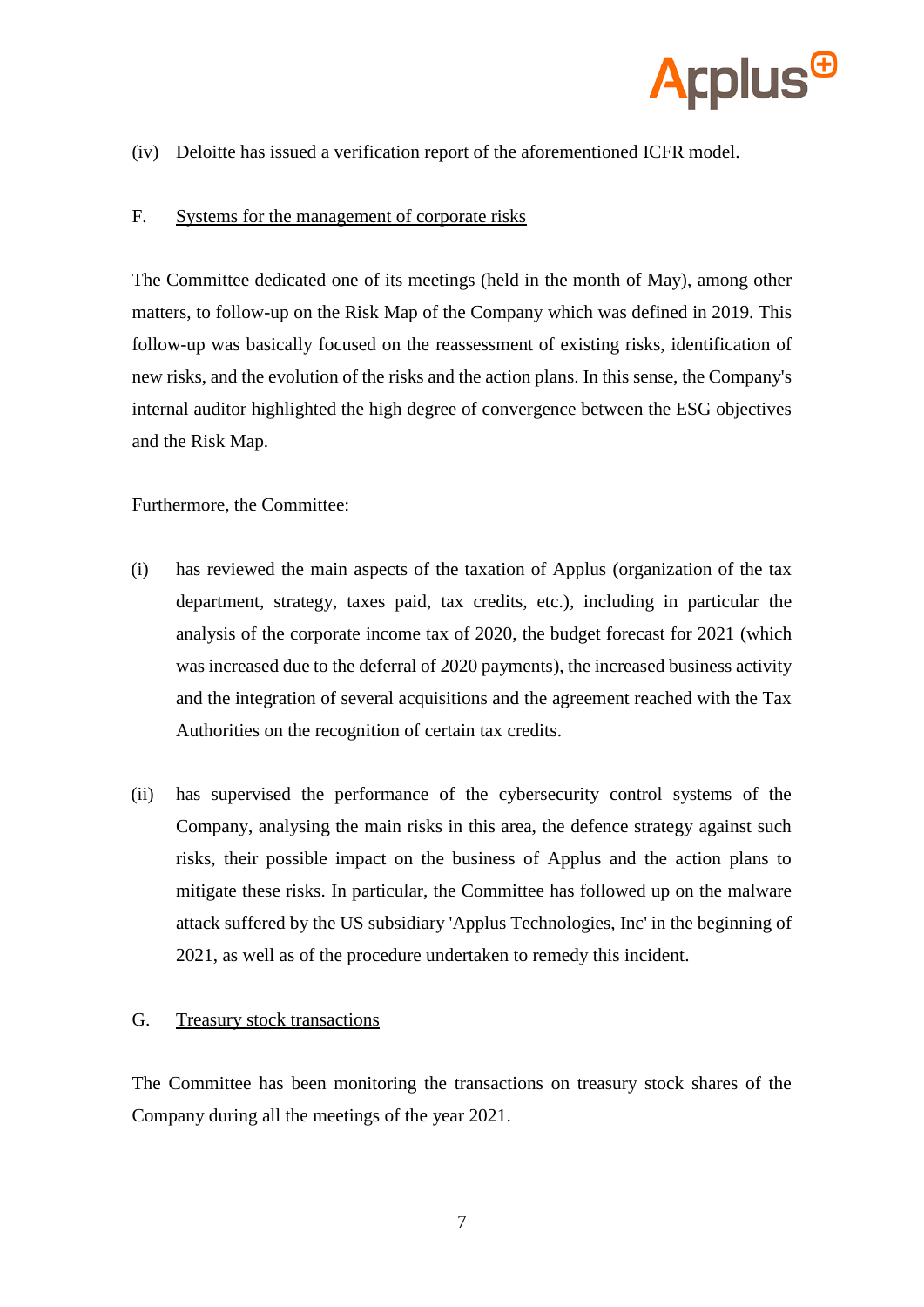

(iv) Deloitte has issued a verification report of the aforementioned ICFR model.

#### F. Systems for the management of corporate risks

The Committee dedicated one of its meetings (held in the month of May), among other matters, to follow-up on the Risk Map of the Company which was defined in 2019. This follow-up was basically focused on the reassessment of existing risks, identification of new risks, and the evolution of the risks and the action plans. In this sense, the Company's internal auditor highlighted the high degree of convergence between the ESG objectives and the Risk Map.

Furthermore, the Committee:

- (i) has reviewed the main aspects of the taxation of Applus (organization of the tax department, strategy, taxes paid, tax credits, etc.), including in particular the analysis of the corporate income tax of 2020, the budget forecast for 2021 (which was increased due to the deferral of 2020 payments), the increased business activity and the integration of several acquisitions and the agreement reached with the Tax Authorities on the recognition of certain tax credits.
- (ii) has supervised the performance of the cybersecurity control systems of the Company, analysing the main risks in this area, the defence strategy against such risks, their possible impact on the business of Applus and the action plans to mitigate these risks. In particular, the Committee has followed up on the malware attack suffered by the US subsidiary 'Applus Technologies, Inc' in the beginning of 2021, as well as of the procedure undertaken to remedy this incident.

#### G. Treasury stock transactions

The Committee has been monitoring the transactions on treasury stock shares of the Company during all the meetings of the year 2021.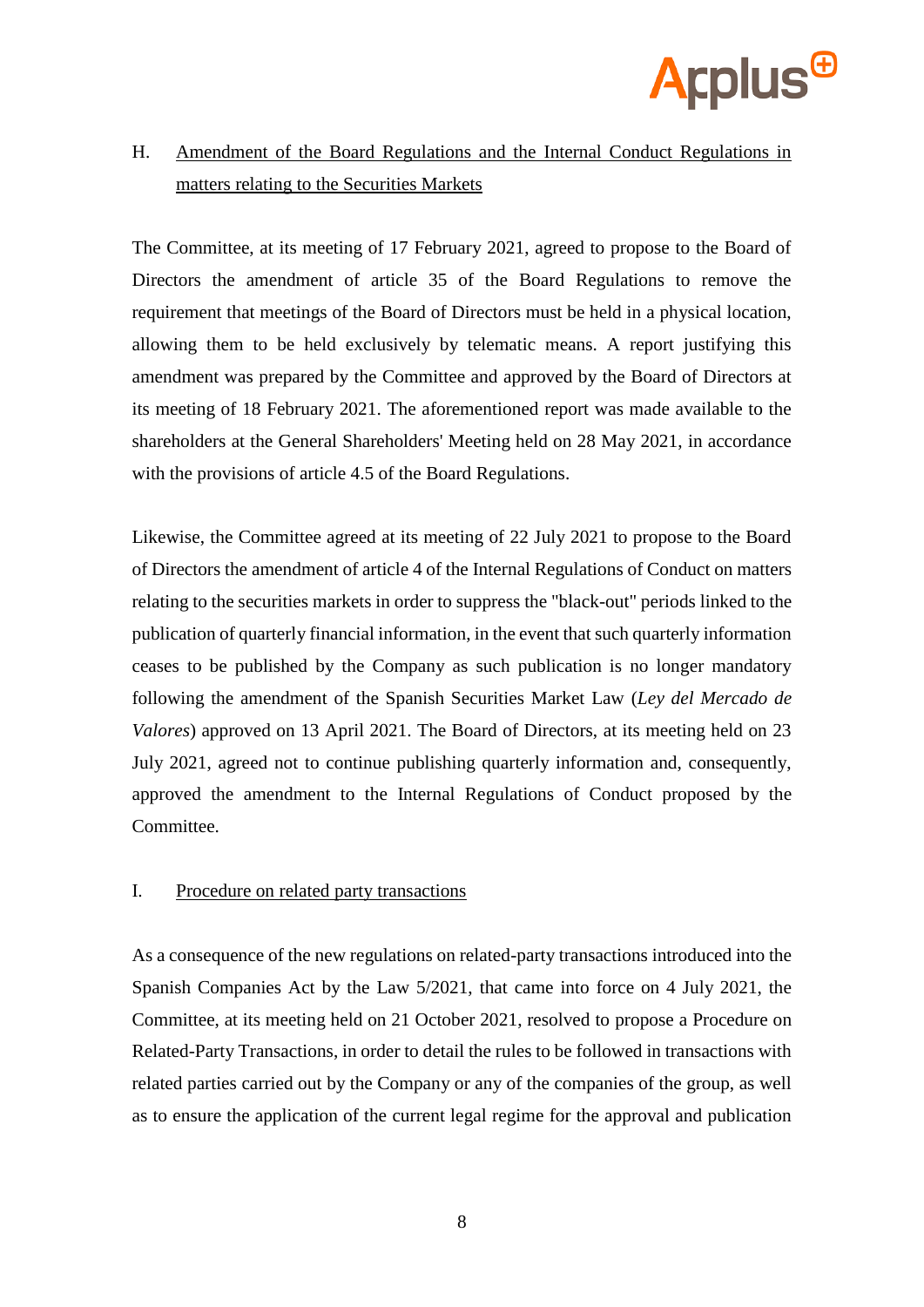

# H. Amendment of the Board Regulations and the Internal Conduct Regulations in matters relating to the Securities Markets

The Committee, at its meeting of 17 February 2021, agreed to propose to the Board of Directors the amendment of article 35 of the Board Regulations to remove the requirement that meetings of the Board of Directors must be held in a physical location, allowing them to be held exclusively by telematic means. A report justifying this amendment was prepared by the Committee and approved by the Board of Directors at its meeting of 18 February 2021. The aforementioned report was made available to the shareholders at the General Shareholders' Meeting held on 28 May 2021, in accordance with the provisions of article 4.5 of the Board Regulations.

Likewise, the Committee agreed at its meeting of 22 July 2021 to propose to the Board of Directors the amendment of article 4 of the Internal Regulations of Conduct on matters relating to the securities markets in order to suppress the "black-out" periods linked to the publication of quarterly financial information, in the event that such quarterly information ceases to be published by the Company as such publication is no longer mandatory following the amendment of the Spanish Securities Market Law (*Ley del Mercado de Valores*) approved on 13 April 2021. The Board of Directors, at its meeting held on 23 July 2021, agreed not to continue publishing quarterly information and, consequently, approved the amendment to the Internal Regulations of Conduct proposed by the Committee.

### I. Procedure on related party transactions

As a consequence of the new regulations on related-party transactions introduced into the Spanish Companies Act by the Law 5/2021, that came into force on 4 July 2021, the Committee, at its meeting held on 21 October 2021, resolved to propose a Procedure on Related-Party Transactions, in order to detail the rules to be followed in transactions with related parties carried out by the Company or any of the companies of the group, as well as to ensure the application of the current legal regime for the approval and publication